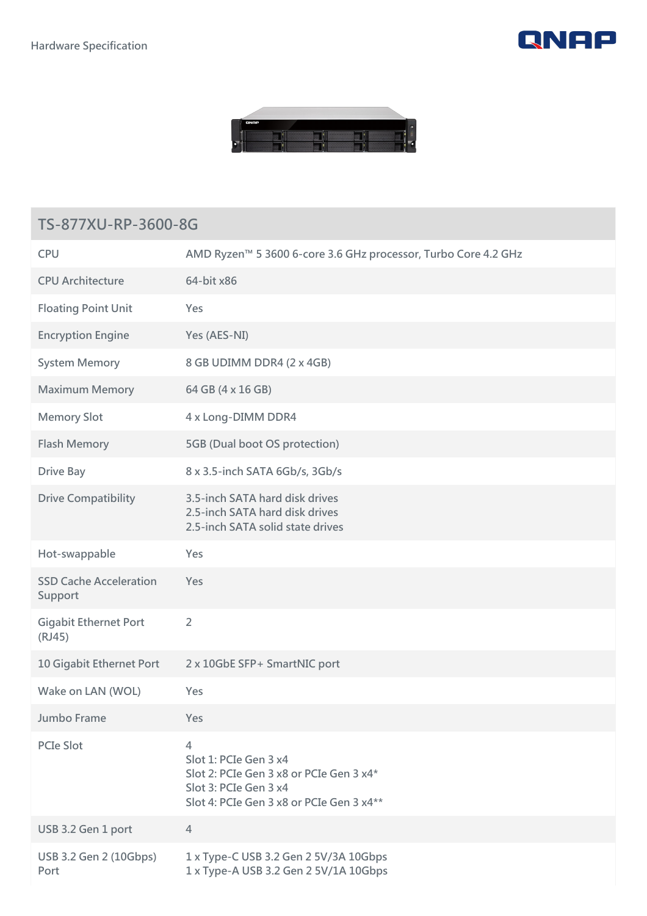



## **TS-877XU-RP-3600-8G**

| <b>CPU</b>                               | AMD Ryzen™ 5 3600 6-core 3.6 GHz processor, Turbo Core 4.2 GHz                                                                             |
|------------------------------------------|--------------------------------------------------------------------------------------------------------------------------------------------|
| <b>CPU Architecture</b>                  | 64-bit x86                                                                                                                                 |
| <b>Floating Point Unit</b>               | Yes                                                                                                                                        |
| <b>Encryption Engine</b>                 | Yes (AES-NI)                                                                                                                               |
| <b>System Memory</b>                     | 8 GB UDIMM DDR4 (2 x 4GB)                                                                                                                  |
| <b>Maximum Memory</b>                    | 64 GB (4 x 16 GB)                                                                                                                          |
| <b>Memory Slot</b>                       | 4 x Long-DIMM DDR4                                                                                                                         |
| <b>Flash Memory</b>                      | 5GB (Dual boot OS protection)                                                                                                              |
| <b>Drive Bay</b>                         | 8 x 3.5-inch SATA 6Gb/s, 3Gb/s                                                                                                             |
| <b>Drive Compatibility</b>               | 3.5-inch SATA hard disk drives<br>2.5-inch SATA hard disk drives<br>2.5-inch SATA solid state drives                                       |
| Hot-swappable                            | Yes                                                                                                                                        |
| <b>SSD Cache Acceleration</b><br>Support | Yes                                                                                                                                        |
| <b>Gigabit Ethernet Port</b><br>(RJ45)   | $\overline{2}$                                                                                                                             |
| 10 Gigabit Ethernet Port                 | 2 x 10GbE SFP+ SmartNIC port                                                                                                               |
| Wake on LAN (WOL)                        | Yes                                                                                                                                        |
| Jumbo Frame                              | Yes                                                                                                                                        |
| <b>PCIe Slot</b>                         | 4<br>Slot 1: PCIe Gen 3 x4<br>Slot 2: PCIe Gen 3 x8 or PCIe Gen 3 x4*<br>Slot 3: PCIe Gen 3 x4<br>Slot 4: PCIe Gen 3 x8 or PCIe Gen 3 x4** |
| USB 3.2 Gen 1 port                       | 4                                                                                                                                          |
| USB 3.2 Gen 2 (10Gbps)<br>Port           | 1 x Type-C USB 3.2 Gen 2 5V/3A 10Gbps<br>1 x Type-A USB 3.2 Gen 2 5V/1A 10Gbps                                                             |